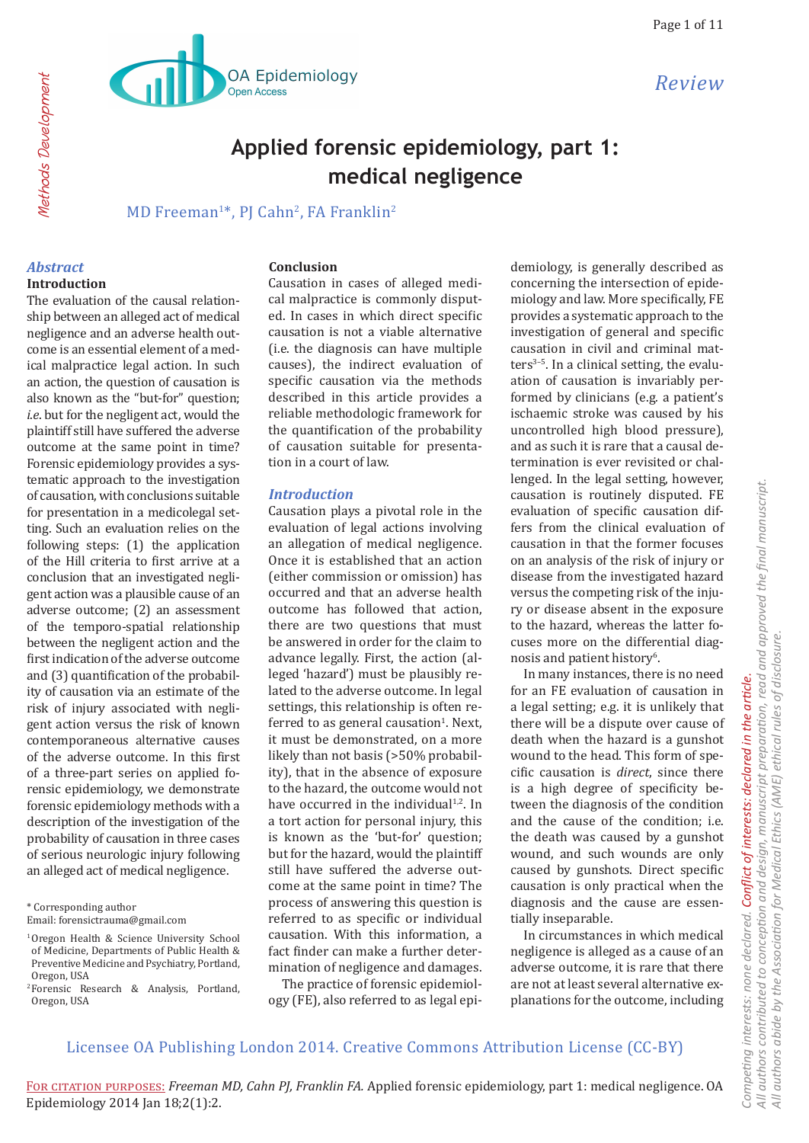

# **Applied forensic epidemiology, part 1: medical negligence**

MD Freeman<sup>1\*</sup>, PJ Cahn<sup>2</sup>, FA Franklin<sup>2</sup>

#### *Abstract*

#### **Introduction**

The evaluation of the causal relationship between an alleged act of medical negligence and an adverse health outcome is an essential element of a medical malpractice legal action. In such an action, the question of causation is also known as the "but-for" question; *i.e.* but for the negligent act, would the plaintiff still have suffered the adverse outcome at the same point in time? Forensic epidemiology provides a systematic approach to the investigation of causation, with conclusions suitable for presentation in a medicolegal setting. Such an evaluation relies on the following steps: (1) the application of the Hill criteria to first arrive at a conclusion that an investigated negligent action was a plausible cause of an adverse outcome; (2) an assessment of the temporo-spatial relationship between the negligent action and the first indication of the adverse outcome and (3) quantification of the probability of causation via an estimate of the risk of injury associated with negligent action versus the risk of known contemporaneous alternative causes of the adverse outcome. In this first of a three-part series on applied forensic epidemiology, we demonstrate forensic epidemiology methods with a description of the investigation of the probability of causation in three cases of serious neurologic injury following an alleged act of medical negligence.

\* Corresponding author

#### **Conclusion**

Causation in cases of alleged medical malpractice is commonly disputed. In cases in which direct specific causation is not a viable alternative (i.e. the diagnosis can have multiple causes), the indirect evaluation of specific causation via the methods described in this article provides a reliable methodologic framework for the quantification of the probability of causation suitable for presentation in a court of law.

#### *Introduction*

Causation plays a pivotal role in the evaluation of legal actions involving an allegation of medical negligence. Once it is established that an action (either commission or omission) has occurred and that an adverse health outcome has followed that action, there are two questions that must be answered in order for the claim to advance legally. First, the action (alleged 'hazard') must be plausibly related to the adverse outcome. In legal settings, this relationship is often referred to as general causation<sup>1</sup>. Next, it must be demonstrated, on a more likely than not basis (>50% probability), that in the absence of exposure to the hazard, the outcome would not have occurred in the individual $1,2$ . In a tort action for personal injury, this is known as the 'but-for' question; but for the hazard, would the plaintiff still have suffered the adverse outcome at the same point in time? The process of answering this question is referred to as specific or individual causation. With this information, a fact finder can make a further determination of negligence and damages.

The practice of forensic epidemiology (FE), also referred to as legal epi-

demiology, is generally described as concerning the intersection of epidemiology and law. More specifically, FE provides a systematic approach to the investigation of general and specific causation in civil and criminal matters $3-5$ . In a clinical setting, the evaluation of causation is invariably performed by clinicians (e.g*.* a patient's ischaemic stroke was caused by his uncontrolled high blood pressure), and as such it is rare that a causal determination is ever revisited or challenged. In the legal setting, however, causation is routinely disputed. FE evaluation of specific causation differs from the clinical evaluation of causation in that the former focuses on an analysis of the risk of injury or disease from the investigated hazard versus the competing risk of the injury or disease absent in the exposure to the hazard, whereas the latter focuses more on the differential diagnosis and patient history<sup>6</sup>.

In many instances, there is no need for an FE evaluation of causation in a legal setting; e.g. it is unlikely that there will be a dispute over cause of death when the hazard is a gunshot wound to the head. This form of specific causation is *direct*, since there is a high degree of specificity between the diagnosis of the condition and the cause of the condition; i.e. the death was caused by a gunshot wound, and such wounds are only caused by gunshots. Direct specific causation is only practical when the diagnosis and the cause are essentially inseparable.

In circumstances in which medical negligence is alleged as a cause of an adverse outcome, it is rare that there are not at least several alternative explanations for the outcome, including

Email: forensictrauma@gmail.com

<sup>1</sup> Oregon Health & Science University School of Medicine, Departments of Public Health & Preventive Medicine and Psychiatry, Portland, Oregon, USA

<sup>2</sup> Forensic Research & Analysis, Portland, Oregon, USA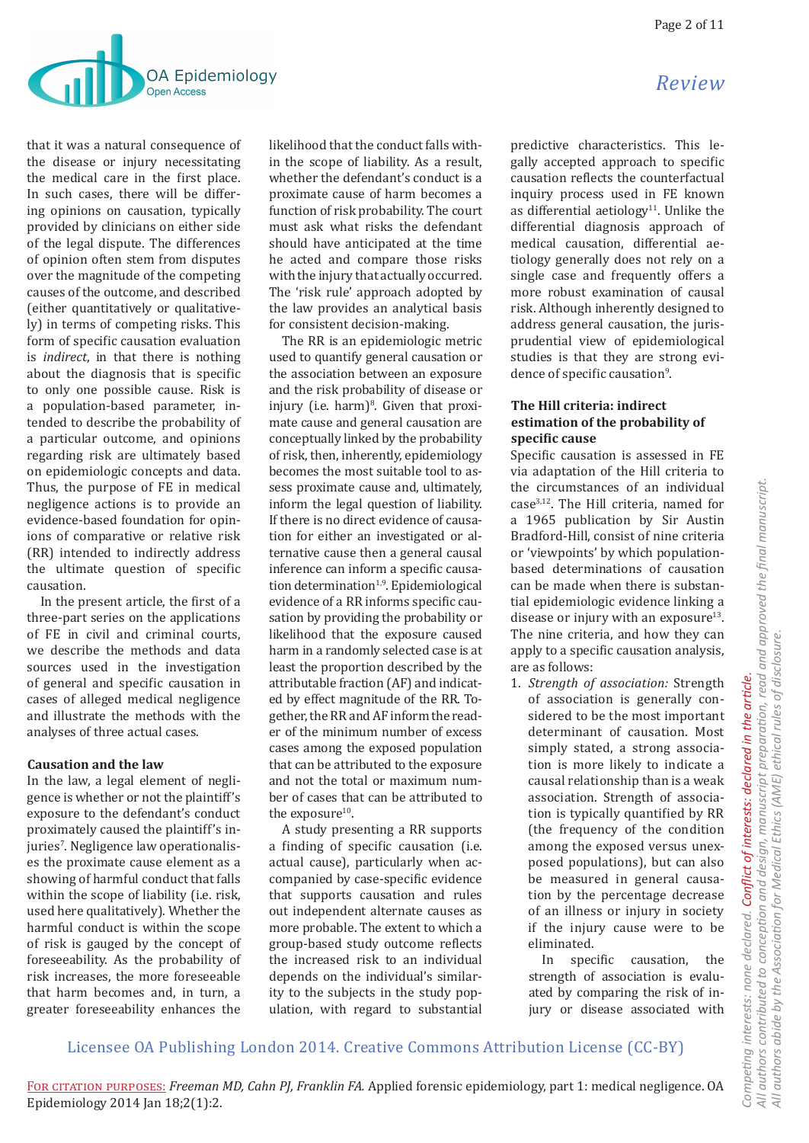

that it was a natural consequence of the disease or injury necessitating the medical care in the first place. In such cases, there will be differing opinions on causation, typically provided by clinicians on either side of the legal dispute. The differences of opinion often stem from disputes over the magnitude of the competing causes of the outcome, and described (either quantitatively or qualitatively) in terms of competing risks. This form of specific causation evaluation is *indirect*, in that there is nothing about the diagnosis that is specific to only one possible cause. Risk is a population-based parameter, intended to describe the probability of a particular outcome, and opinions regarding risk are ultimately based on epidemiologic concepts and data. Thus, the purpose of FE in medical negligence actions is to provide an evidence-based foundation for opinions of comparative or relative risk (RR) intended to indirectly address the ultimate question of specific causation.

In the present article, the first of a three-part series on the applications of FE in civil and criminal courts, we describe the methods and data sources used in the investigation of general and specific causation in cases of alleged medical negligence and illustrate the methods with the analyses of three actual cases.

### **Causation and the law**

In the law, a legal element of negligence is whether or not the plaintiff's exposure to the defendant's conduct proximately caused the plaintiff's injuries'. Negligence law operationalises the proximate cause element as a showing of harmful conduct that falls within the scope of liability (i.e. risk, used here qualitatively). Whether the harmful conduct is within the scope of risk is gauged by the concept of foreseeability. As the probability of risk increases, the more foreseeable that harm becomes and, in turn, a greater foreseeability enhances the

likelihood that the conduct falls within the scope of liability. As a result, whether the defendant's conduct is a proximate cause of harm becomes a function of risk probability. The court must ask what risks the defendant should have anticipated at the time he acted and compare those risks with the injury that actually occurred. The 'risk rule' approach adopted by the law provides an analytical basis for consistent decision-making.

The RR is an epidemiologic metric used to quantify general causation or the association between an exposure and the risk probability of disease or injury (i.e. harm)<sup>8</sup>. Given that proximate cause and general causation are conceptually linked by the probability of risk, then, inherently, epidemiology becomes the most suitable tool to assess proximate cause and, ultimately, inform the legal question of liability. If there is no direct evidence of causation for either an investigated or alternative cause then a general causal inference can inform a specific causation determination<sup>1,9</sup>. Epidemiological evidence of a RR informs specific causation by providing the probability or likelihood that the exposure caused harm in a randomly selected case is at least the proportion described by the attributable fraction (AF) and indicated by effect magnitude of the RR. Together, the RR and AF inform the reader of the minimum number of excess cases among the exposed population that can be attributed to the exposure and not the total or maximum number of cases that can be attributed to the exposure<sup>10</sup>.

A study presenting a RR supports a finding of specific causation (i.e. actual cause), particularly when accompanied by case-specific evidence that supports causation and rules out independent alternate causes as more probable. The extent to which a group-based study outcome reflects the increased risk to an individual depends on the individual's similarity to the subjects in the study population, with regard to substantial

predictive characteristics. This legally accepted approach to specific causation reflects the counterfactual inquiry process used in FE known as differential aetiology<sup>11</sup>. Unlike the differential diagnosis approach of medical causation, differential aetiology generally does not rely on a single case and frequently offers a more robust examination of causal risk. Although inherently designed to address general causation, the jurisprudential view of epidemiological studies is that they are strong evidence of specific causation<sup>9</sup>.

### **The Hill criteria: indirect estimation of the probability of specific cause**

Specific causation is assessed in FE via adaptation of the Hill criteria to the circumstances of an individual case3,12. The Hill criteria, named for a 1965 publication by Sir Austin Bradford-Hill, consist of nine criteria or 'viewpoints' by which populationbased determinations of causation can be made when there is substantial epidemiologic evidence linking a disease or injury with an exposure $13$ . The nine criteria, and how they can apply to a specific causation analysis, are as follows:

1. *Strength of association:* Strength of association is generally considered to be the most important determinant of causation. Most simply stated, a strong association is more likely to indicate a causal relationship than is a weak association. Strength of association is typically quantified by RR (the frequency of the condition among the exposed versus unexposed populations), but can also be measured in general causation by the percentage decrease of an illness or injury in society if the injury cause were to be eliminated.

In specific causation, the strength of association is evaluated by comparing the risk of injury or disease associated with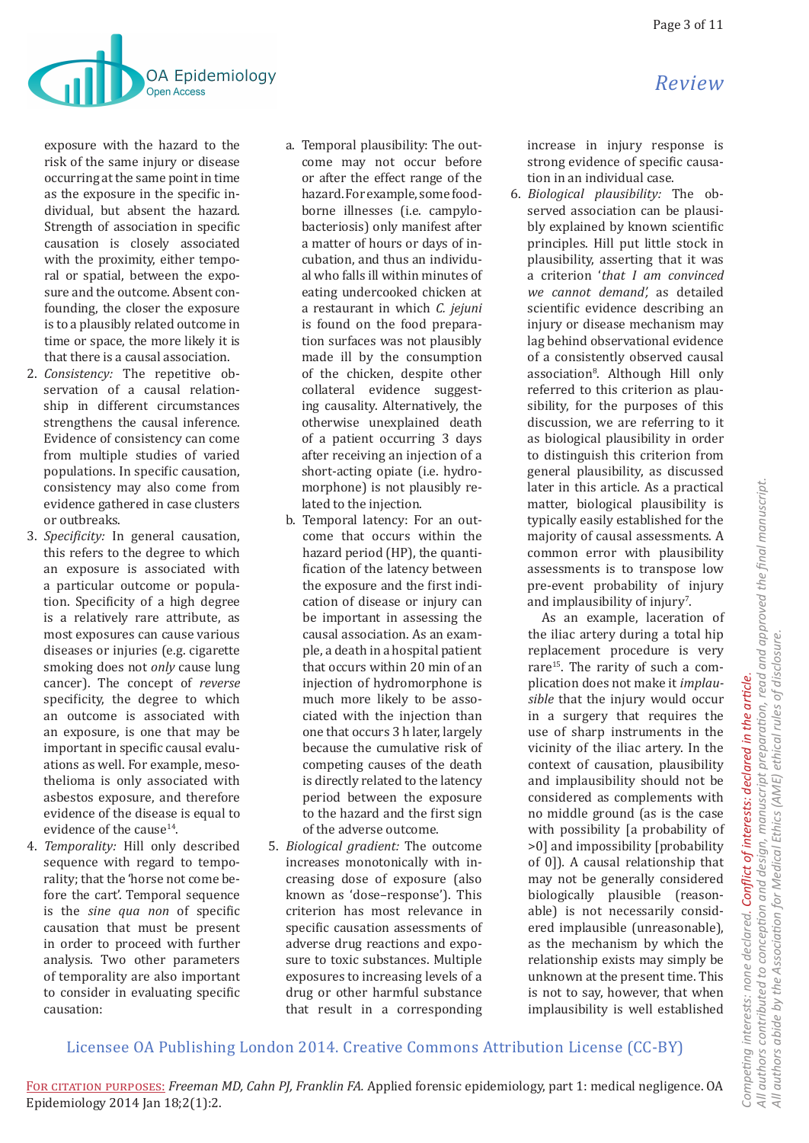

exposure with the hazard to the risk of the same injury or disease occurring at the same point in time as the exposure in the specific individual, but absent the hazard. Strength of association in specific causation is closely associated with the proximity, either temporal or spatial, between the exposure and the outcome. Absent confounding, the closer the exposure is to a plausibly related outcome in time or space, the more likely it is that there is a causal association.

- 2. *Consistency:* The repetitive observation of a causal relationship in different circumstances strengthens the causal inference. Evidence of consistency can come from multiple studies of varied populations. In specific causation, consistency may also come from evidence gathered in case clusters or outbreaks.
- 3. *Specificity:* In general causation, this refers to the degree to which an exposure is associated with a particular outcome or population. Specificity of a high degree is a relatively rare attribute, as most exposures can cause various diseases or injuries (e.g. cigarette smoking does not *only* cause lung cancer). The concept of *reverse* specificity, the degree to which an outcome is associated with an exposure, is one that may be important in specific causal evaluations as well. For example, mesothelioma is only associated with asbestos exposure, and therefore evidence of the disease is equal to evidence of the cause<sup>14</sup>.
- 4. *Temporality:* Hill only described sequence with regard to temporality; that the 'horse not come before the cart'. Temporal sequence is the *sine qua non* of specific causation that must be present in order to proceed with further analysis. Two other parameters of temporality are also important to consider in evaluating specific causation:
- a. Temporal plausibility: The outcome may not occur before or after the effect range of the hazard. For example, some foodborne illnesses (i.e. campylobacteriosis) only manifest after a matter of hours or days of incubation, and thus an individual who falls ill within minutes of eating undercooked chicken at a restaurant in which *C. jejuni*  is found on the food preparation surfaces was not plausibly made ill by the consumption of the chicken, despite other collateral evidence suggesting causality. Alternatively, the otherwise unexplained death of a patient occurring 3 days after receiving an injection of a short-acting opiate (i.e. hydromorphone) is not plausibly related to the injection.
- b. Temporal latency: For an outcome that occurs within the hazard period (HP), the quantification of the latency between the exposure and the first indication of disease or injury can be important in assessing the causal association. As an example, a death in a hospital patient that occurs within 20 min of an injection of hydromorphone is much more likely to be associated with the injection than one that occurs 3 h later, largely because the cumulative risk of competing causes of the death is directly related to the latency period between the exposure to the hazard and the first sign of the adverse outcome.
- 5. *Biological gradient:* The outcome increases monotonically with increasing dose of exposure (also known as 'dose–response'). This criterion has most relevance in specific causation assessments of adverse drug reactions and exposure to toxic substances. Multiple exposures to increasing levels of a drug or other harmful substance that result in a corresponding

increase in injury response is strong evidence of specific causation in an individual case.

6. *Biological plausibility:* The observed association can be plausibly explained by known scientific principles. Hill put little stock in plausibility, asserting that it was a criterion '*that I am convinced we cannot demand',* as detailed scientific evidence describing an injury or disease mechanism may lag behind observational evidence of a consistently observed causal association8 . Although Hill only referred to this criterion as plausibility, for the purposes of this discussion, we are referring to it as biological plausibility in order to distinguish this criterion from general plausibility, as discussed later in this article. As a practical matter, biological plausibility is typically easily established for the majority of causal assessments. A common error with plausibility assessments is to transpose low pre-event probability of injury and implausibility of injury<sup>7</sup>.

As an example, laceration of the iliac artery during a total hip replacement procedure is very rare<sup>15</sup>. The rarity of such a complication does not make it *implausible* that the injury would occur in a surgery that requires the use of sharp instruments in the vicinity of the iliac artery. In the context of causation, plausibility and implausibility should not be considered as complements with no middle ground (as is the case with possibility [a probability of >0] and impossibility [probability of 0])*.* A causal relationship that may not be generally considered biologically plausible (reasonable) is not necessarily considered implausible (unreasonable), as the mechanism by which the relationship exists may simply be unknown at the present time. This is not to say, however, that when implausibility is well established

# Licensee OA Publishing London 2014. Creative Commons Attribution License (CC-BY)

All authors contributed to conception and design, manuscript preparation, read and approved the final manuscript. *All authors contributed to conception and design, manuscript preparation, read and approved the final manuscript.* All authors abide by the Association for Medical Ethics (AME) ethical rules of disclosure. *All authors abide by the Association for Medical Ethics (AME) ethical rules of disclosure.* Conflict of interests: declared in the article. *Competing interests: none declared. Conflict of interests: declared in the article.* Competing interests: none declared.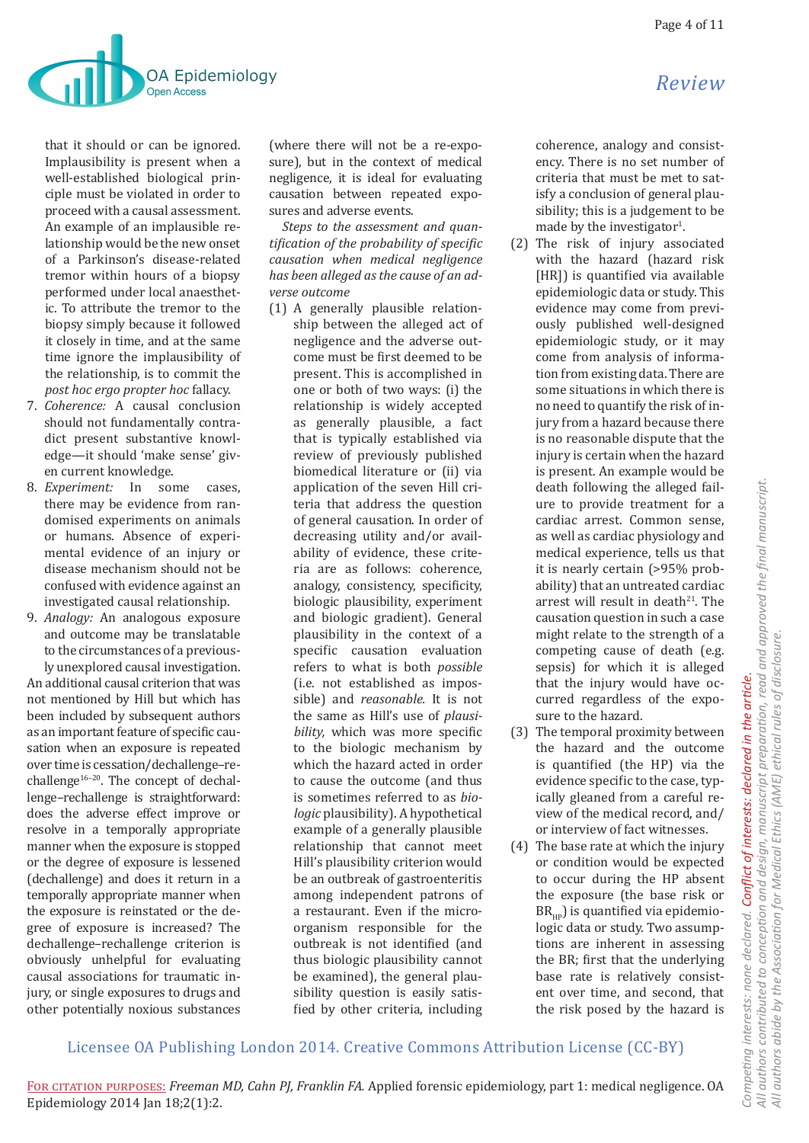

that it should or can be ignored. Implausibility is present when a well-established biological principle must be violated in order to proceed with a causal assessment. An example of an implausible relationship would be the new onset of a Parkinson's disease-related tremor within hours of a biopsy performed under local anaesthetic. To attribute the tremor to the biopsy simply because it followed it closely in time, and at the same time ignore the implausibility of the relationship, is to commit the *post hoc ergo propter hoc* fallacy.

- 7. *Coherence:* A causal conclusion should not fundamentally contradict present substantive knowledge—it should 'make sense' given current knowledge.
- 8. *Experiment:* In some cases, there may be evidence from randomised experiments on animals or humans. Absence of experimental evidence of an injury or disease mechanism should not be confused with evidence against an investigated causal relationship.
- 9. *Analogy:* An analogous exposure and outcome may be translatable to the circumstances of a previously unexplored causal investigation.

An additional causal criterion that was not mentioned by Hill but which has been included by subsequent authors as an important feature of specific causation when an exposure is repeated over time is cessation/dechallenge–rechallenge<sup>16-20</sup>. The concept of dechallenge–rechallenge is straightforward: does the adverse effect improve or resolve in a temporally appropriate manner when the exposure is stopped or the degree of exposure is lessened (dechallenge) and does it return in a temporally appropriate manner when the exposure is reinstated or the degree of exposure is increased? The dechallenge–rechallenge criterion is obviously unhelpful for evaluating causal associations for traumatic injury, or single exposures to drugs and other potentially noxious substances

(where there will not be a re-exposure), but in the context of medical negligence, it is ideal for evaluating causation between repeated exposures and adverse events.

*Steps to the assessment and quantification of the probability of specific causation when medical negligence has been alleged as the cause of an adverse outcome*

(1) A generally plausible relationship between the alleged act of negligence and the adverse outcome must be first deemed to be present. This is accomplished in one or both of two ways: (i) the relationship is widely accepted as generally plausible, a fact that is typically established via review of previously published biomedical literature or (ii) via application of the seven Hill criteria that address the question of general causation. In order of decreasing utility and/or availability of evidence, these criteria are as follows: coherence, analogy, consistency, specificity, biologic plausibility, experiment and biologic gradient). General plausibility in the context of a specific causation evaluation refers to what is both *possible* (i.e. not established as impossible) and *reasonable.* It is not the same as Hill's use of *plausibility,* which was more specific to the biologic mechanism by which the hazard acted in order to cause the outcome (and thus is sometimes referred to as *biologic* plausibility). A hypothetical example of a generally plausible relationship that cannot meet Hill's plausibility criterion would be an outbreak of gastroenteritis among independent patrons of a restaurant. Even if the microorganism responsible for the outbreak is not identified (and thus biologic plausibility cannot be examined), the general plausibility question is easily satisfied by other criteria, including

coherence, analogy and consistency. There is no set number of criteria that must be met to satisfy a conclusion of general plausibility; this is a judgement to be made by the investigator<sup>1</sup>.

- (2) The risk of injury associated with the hazard (hazard risk [HR]) is quantified via available epidemiologic data or study. This evidence may come from previously published well-designed epidemiologic study, or it may come from analysis of information from existing data. There are some situations in which there is no need to quantify the risk of injury from a hazard because there is no reasonable dispute that the injury is certain when the hazard is present. An example would be death following the alleged failure to provide treatment for a cardiac arrest. Common sense, as well as cardiac physiology and medical experience, tells us that it is nearly certain (>95% probability) that an untreated cardiac arrest will result in death<sup>21</sup>. The causation question in such a case might relate to the strength of a competing cause of death (e.g. sepsis) for which it is alleged that the injury would have occurred regardless of the exposure to the hazard.
- (3) The temporal proximity between the hazard and the outcome is quantified (the HP) via the evidence specific to the case, typically gleaned from a careful review of the medical record, and/ or interview of fact witnesses.
- (4) The base rate at which the injury or condition would be expected to occur during the HP absent the exposure (the base risk or  $BR_{\mu\nu}$ ) is quantified via epidemiologic data or study. Two assumptions are inherent in assessing the BR; first that the underlying base rate is relatively consistent over time, and second, that the risk posed by the hazard is

# Licensee OA Publishing London 2014. Creative Commons Attribution License (CC-BY)

All authors contributed to conception and design, manuscript preparation, read and approved the final manuscript. *All authors contributed to conception and design, manuscript preparation, read and approved the final manuscript.* All authors abide by the Association for Medical Ethics (AME) ethical rules of disclosure. *All authors abide by the Association for Medical Ethics (AME) ethical rules of disclosure.* Competing interests: none declared. Conflict of interests: declared in the article. *Competing interests: none declared. Conflict of interests: declared in the article.*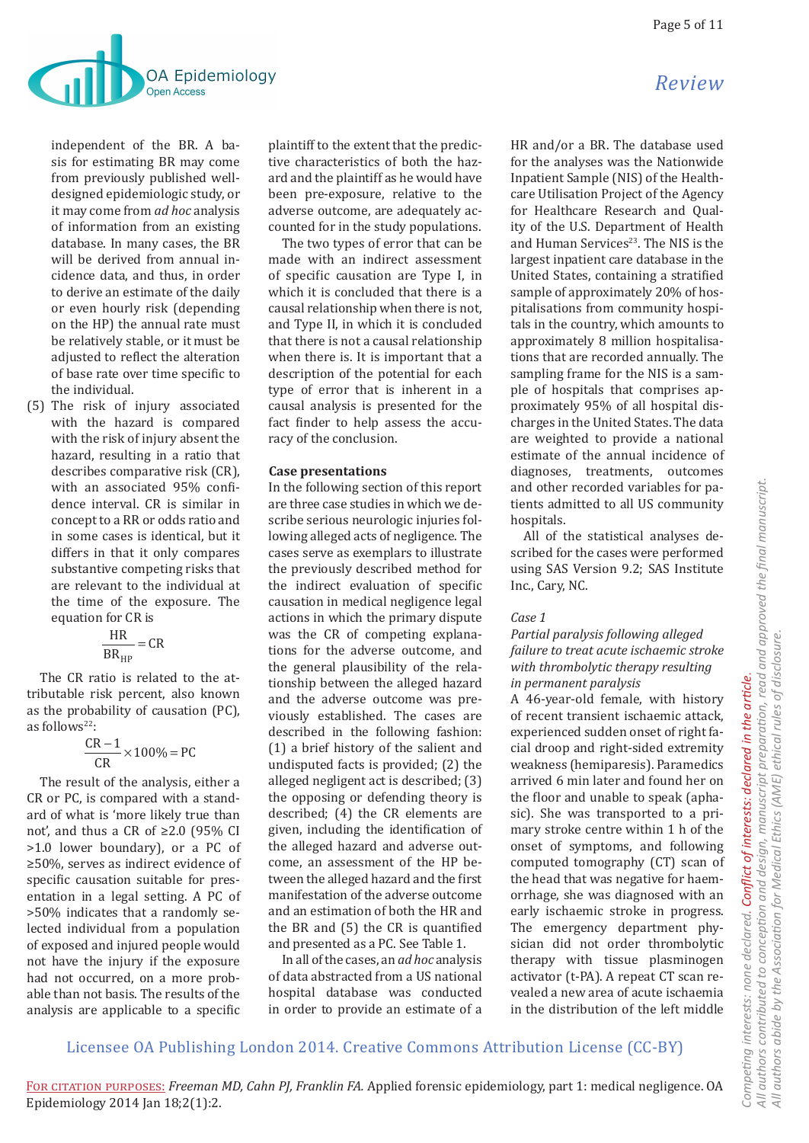

independent of the BR. A basis for estimating BR may come from previously published welldesigned epidemiologic study, or it may come from *ad hoc* analysis of information from an existing database. In many cases, the BR will be derived from annual incidence data, and thus, in order to derive an estimate of the daily or even hourly risk (depending on the HP) the annual rate must be relatively stable, or it must be adjusted to reflect the alteration of base rate over time specific to the individual.

(5) The risk of injury associated with the hazard is compared with the risk of injury absent the hazard, resulting in a ratio that describes comparative risk (CR), with an associated 95% confidence interval. CR is similar in concept to a RR or odds ratio and in some cases is identical, but it differs in that it only compares substantive competing risks that are relevant to the individual at the time of the exposure. The equation for CR is

$$
\frac{\text{HR}}{\text{BR}_{\text{HP}}} = \text{CR}
$$

The CR ratio is related to the attributable risk percent, also known as the probability of causation (PC), as follows<sup>22.</sup>

$$
\frac{CR-1}{CR} \times 100\% = PC
$$

The result of the analysis, either a CR or PC, is compared with a standard of what is 'more likely true than not', and thus a CR of  $\geq 2.0$  (95% CI >1.0 lower boundary), or a PC of ≥50%, serves as indirect evidence of specific causation suitable for presentation in a legal setting. A PC of >50% indicates that a randomly selected individual from a population of exposed and injured people would not have the injury if the exposure had not occurred, on a more probable than not basis. The results of the analysis are applicable to a specific

plaintiff to the extent that the predictive characteristics of both the hazard and the plaintiff as he would have been pre-exposure, relative to the adverse outcome, are adequately accounted for in the study populations.

The two types of error that can be made with an indirect assessment of specific causation are Type I, in which it is concluded that there is a causal relationship when there is not, and Type II, in which it is concluded that there is not a causal relationship when there is. It is important that a description of the potential for each type of error that is inherent in a causal analysis is presented for the fact finder to help assess the accuracy of the conclusion.

### **Case presentations**

In the following section of this report are three case studies in which we describe serious neurologic injuries following alleged acts of negligence. The cases serve as exemplars to illustrate the previously described method for the indirect evaluation of specific causation in medical negligence legal actions in which the primary dispute was the CR of competing explanations for the adverse outcome, and the general plausibility of the relationship between the alleged hazard and the adverse outcome was previously established. The cases are described in the following fashion: (1) a brief history of the salient and undisputed facts is provided; (2) the alleged negligent act is described; (3) the opposing or defending theory is described; (4) the CR elements are given, including the identification of the alleged hazard and adverse outcome, an assessment of the HP between the alleged hazard and the first manifestation of the adverse outcome and an estimation of both the HR and the BR and (5) the CR is quantified and presented as a PC. See Table 1.

In all of the cases, an *ad hoc* analysis of data abstracted from a US national hospital database was conducted in order to provide an estimate of a

HR and/or a BR. The database used for the analyses was the Nationwide Inpatient Sample (NIS) of the Healthcare Utilisation Project of the Agency for Healthcare Research and Quality of the U.S. Department of Health and Human Services<sup>23</sup>. The NIS is the largest inpatient care database in the United States, containing a stratified sample of approximately 20% of hospitalisations from community hospitals in the country, which amounts to approximately 8 million hospitalisations that are recorded annually. The sampling frame for the NIS is a sample of hospitals that comprises approximately 95% of all hospital discharges in the United States. The data are weighted to provide a national estimate of the annual incidence of diagnoses, treatments, outcomes and other recorded variables for patients admitted to all US community hospitals.

All of the statistical analyses described for the cases were performed using SAS Version 9.2; SAS Institute Inc., Cary, NC.

### *Case 1*

# *Partial paralysis following alleged failure to treat acute ischaemic stroke with thrombolytic therapy resulting in permanent paralysis*

A 46-year-old female, with history of recent transient ischaemic attack, experienced sudden onset of right facial droop and right-sided extremity weakness (hemiparesis). Paramedics arrived 6 min later and found her on the floor and unable to speak (aphasic). She was transported to a primary stroke centre within 1 h of the onset of symptoms, and following computed tomography (CT) scan of the head that was negative for haemorrhage, she was diagnosed with an early ischaemic stroke in progress. The emergency department physician did not order thrombolytic therapy with tissue plasminogen activator (t-PA). A repeat CT scan revealed a new area of acute ischaemia in the distribution of the left middle

# Licensee OA Publishing London 2014. Creative Commons Attribution License (CC-BY)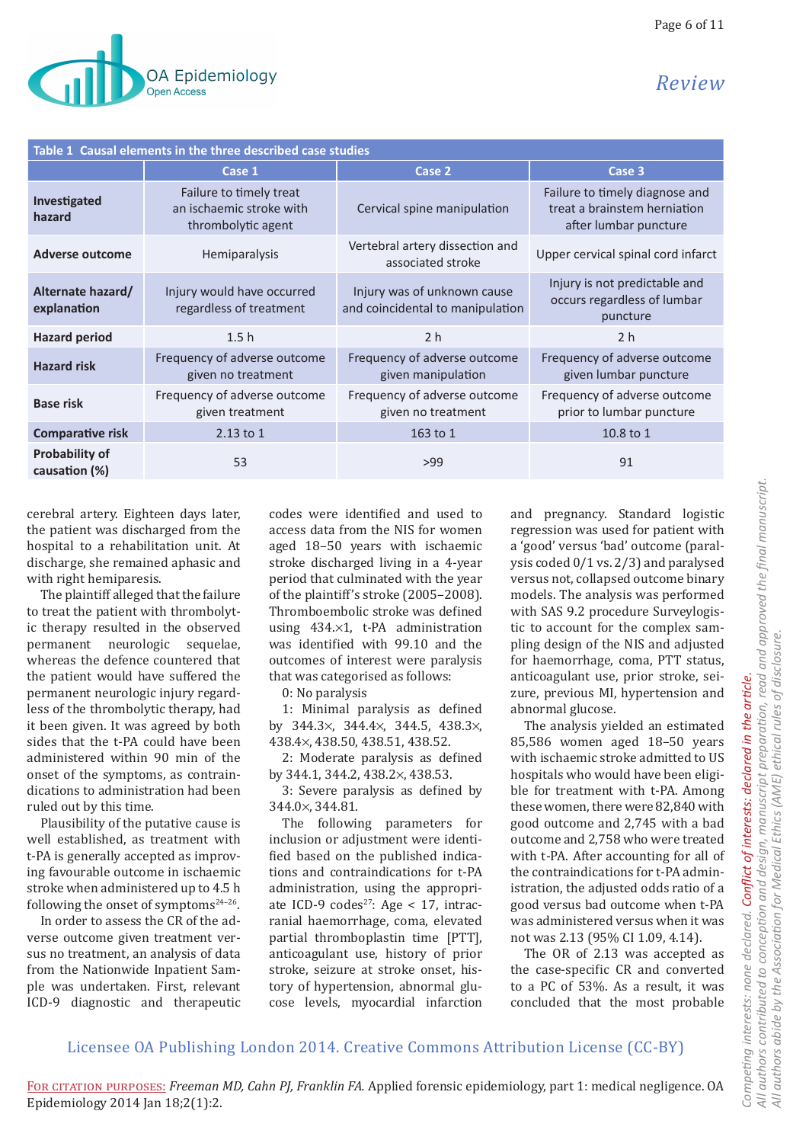| Table 1 Causal elements in the three described case studies |                                                                           |                                                                 |                                                                                         |
|-------------------------------------------------------------|---------------------------------------------------------------------------|-----------------------------------------------------------------|-----------------------------------------------------------------------------------------|
|                                                             | Case 1                                                                    | Case 2                                                          | Case 3                                                                                  |
| Investigated<br>hazard                                      | Failure to timely treat<br>an ischaemic stroke with<br>thrombolytic agent | Cervical spine manipulation                                     | Failure to timely diagnose and<br>treat a brainstem herniation<br>after lumbar puncture |
| <b>Adverse outcome</b>                                      | Hemiparalysis                                                             | Vertebral artery dissection and<br>associated stroke            | Upper cervical spinal cord infarct                                                      |
| Alternate hazard/<br>explanation                            | Injury would have occurred<br>regardless of treatment                     | Injury was of unknown cause<br>and coincidental to manipulation | Injury is not predictable and<br>occurs regardless of lumbar<br>puncture                |
| <b>Hazard period</b>                                        | 1.5 <sub>h</sub>                                                          | 2 <sub>h</sub>                                                  | 2 <sub>h</sub>                                                                          |
| <b>Hazard risk</b>                                          | Frequency of adverse outcome<br>given no treatment                        | Frequency of adverse outcome<br>given manipulation              | Frequency of adverse outcome<br>given lumbar puncture                                   |
| <b>Base risk</b>                                            | Frequency of adverse outcome<br>given treatment                           | Frequency of adverse outcome<br>given no treatment              | Frequency of adverse outcome<br>prior to lumbar puncture                                |
| <b>Comparative risk</b>                                     | 2.13 to 1                                                                 | 163 to 1                                                        | 10.8 to 1                                                                               |
| <b>Probability of</b><br>causation (%)                      | 53                                                                        | >99                                                             | 91                                                                                      |

cerebral artery. Eighteen days later, the patient was discharged from the hospital to a rehabilitation unit. At discharge, she remained aphasic and with right hemiparesis.

The plaintiff alleged that the failure to treat the patient with thrombolytic therapy resulted in the observed permanent neurologic sequelae, whereas the defence countered that the patient would have suffered the permanent neurologic injury regardless of the thrombolytic therapy, had it been given. It was agreed by both sides that the t-PA could have been administered within 90 min of the onset of the symptoms, as contraindications to administration had been ruled out by this time.

Plausibility of the putative cause is well established, as treatment with t-PA is generally accepted as improving favourable outcome in ischaemic stroke when administered up to 4.5 h following the onset of symptoms $24-26$ .

In order to assess the CR of the adverse outcome given treatment versus no treatment, an analysis of data from the Nationwide Inpatient Sample was undertaken. First, relevant ICD-9 diagnostic and therapeutic codes were identified and used to access data from the NIS for women aged 18–50 years with ischaemic stroke discharged living in a 4-year period that culminated with the year of the plaintiff's stroke (2005–2008). Thromboembolic stroke was defined using 434.×1, t-PA administration was identified with 99.10 and the outcomes of interest were paralysis that was categorised as follows:

0: No paralysis

1: Minimal paralysis as defined by 344.3×, 344.4×, 344.5, 438.3×, 438.4×, 438.50, 438.51, 438.52.

2: Moderate paralysis as defined by 344.1, 344.2, 438.2×, 438.53.

3: Severe paralysis as defined by 344.0×, 344.81.

The following parameters for inclusion or adjustment were identified based on the published indications and contraindications for t-PA administration, using the appropriate ICD-9 codes<sup>27</sup>: Age < 17, intracranial haemorrhage, coma, elevated partial thromboplastin time [PTT], anticoagulant use, history of prior stroke, seizure at stroke onset, history of hypertension, abnormal glucose levels, myocardial infarction and pregnancy. Standard logistic regression was used for patient with a 'good' versus 'bad' outcome (paralysis coded 0/1 vs. 2/3) and paralysed versus not, collapsed outcome binary models. The analysis was performed with SAS 9.2 procedure Surveylogistic to account for the complex sampling design of the NIS and adjusted for haemorrhage, coma, PTT status, anticoagulant use, prior stroke, seizure, previous MI, hypertension and abnormal glucose.

The analysis yielded an estimated 85,586 women aged 18–50 years with ischaemic stroke admitted to US hospitals who would have been eligible for treatment with t-PA. Among these women, there were 82,840 with good outcome and 2,745 with a bad outcome and 2,758 who were treated with t-PA. After accounting for all of the contraindications for t-PA administration, the adjusted odds ratio of a good versus bad outcome when t-PA was administered versus when it was not was 2.13 (95% CI 1.09, 4.14).

The OR of 2.13 was accepted as the case-specific CR and converted to a PC of 53%. As a result, it was concluded that the most probable

# Licensee OA Publishing London 2014. Creative Commons Attribution License (CC-BY)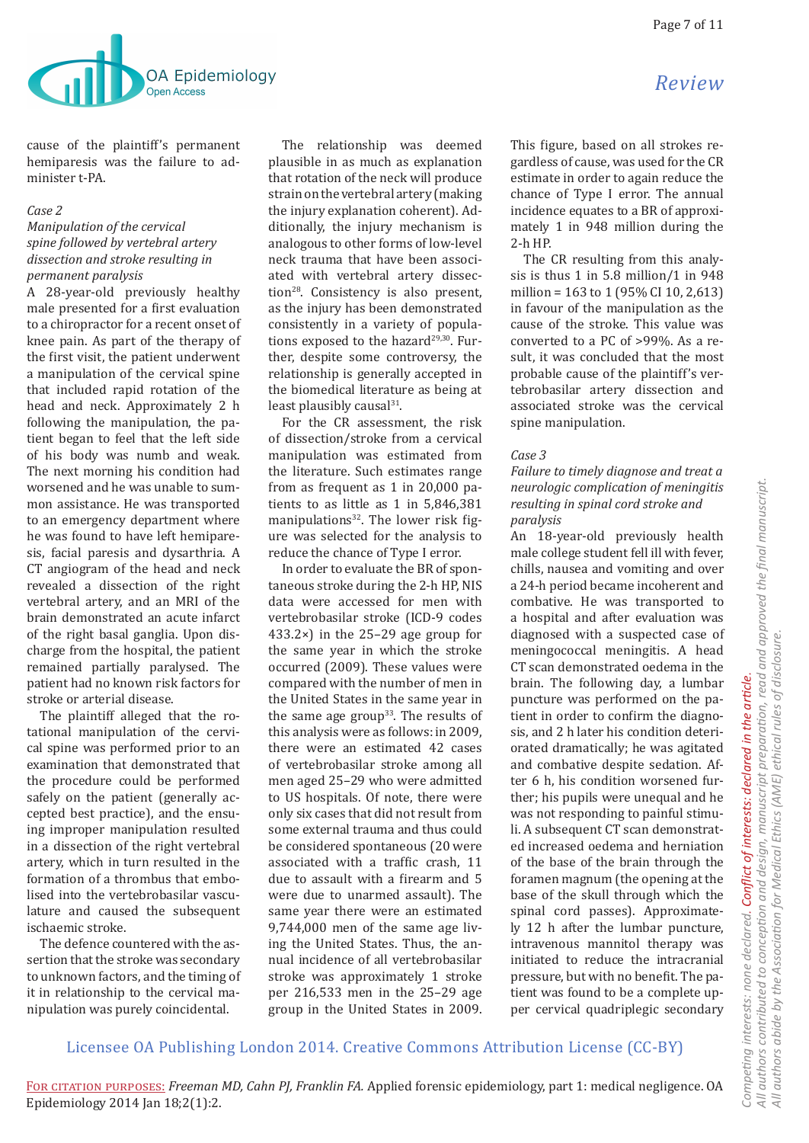

cause of the plaintiff's permanent hemiparesis was the failure to administer t-PA.

#### *Case 2*

### *Manipulation of the cervical spine followed by vertebral artery dissection and stroke resulting in permanent paralysis*

A 28-year-old previously healthy male presented for a first evaluation to a chiropractor for a recent onset of knee pain. As part of the therapy of the first visit, the patient underwent a manipulation of the cervical spine that included rapid rotation of the head and neck. Approximately 2 h following the manipulation, the patient began to feel that the left side of his body was numb and weak. The next morning his condition had worsened and he was unable to summon assistance. He was transported to an emergency department where he was found to have left hemiparesis, facial paresis and dysarthria. A CT angiogram of the head and neck revealed a dissection of the right vertebral artery, and an MRI of the brain demonstrated an acute infarct of the right basal ganglia. Upon discharge from the hospital, the patient remained partially paralysed. The patient had no known risk factors for stroke or arterial disease.

The plaintiff alleged that the rotational manipulation of the cervical spine was performed prior to an examination that demonstrated that the procedure could be performed safely on the patient (generally accepted best practice), and the ensuing improper manipulation resulted in a dissection of the right vertebral artery, which in turn resulted in the formation of a thrombus that embolised into the vertebrobasilar vasculature and caused the subsequent ischaemic stroke.

The defence countered with the assertion that the stroke was secondary to unknown factors, and the timing of it in relationship to the cervical manipulation was purely coincidental.

The relationship was deemed plausible in as much as explanation that rotation of the neck will produce strain on the vertebral artery (making the injury explanation coherent). Additionally, the injury mechanism is analogous to other forms of low-level neck trauma that have been associated with vertebral artery dissection<sup>28</sup>. Consistency is also present, as the injury has been demonstrated consistently in a variety of populations exposed to the hazard $29,30$ . Further, despite some controversy, the relationship is generally accepted in the biomedical literature as being at least plausibly causal<sup>31</sup>.

For the CR assessment, the risk of dissection/stroke from a cervical manipulation was estimated from the literature. Such estimates range from as frequent as 1 in 20,000 patients to as little as 1 in 5,846,381 manipulations<sup>32</sup>. The lower risk figure was selected for the analysis to reduce the chance of Type I error.

In order to evaluate the BR of spontaneous stroke during the 2-h HP, NIS data were accessed for men with vertebrobasilar stroke (ICD-9 codes  $433.2 \times$ ) in the 25–29 age group for the same year in which the stroke occurred (2009). These values were compared with the number of men in the United States in the same year in the same age group<sup>33</sup>. The results of this analysis were as follows: in 2009, there were an estimated 42 cases of vertebrobasilar stroke among all men aged 25–29 who were admitted to US hospitals. Of note, there were only six cases that did not result from some external trauma and thus could be considered spontaneous (20 were associated with a traffic crash, 11 due to assault with a firearm and 5 were due to unarmed assault). The same year there were an estimated 9,744,000 men of the same age living the United States. Thus, the annual incidence of all vertebrobasilar stroke was approximately 1 stroke per 216,533 men in the 25–29 age group in the United States in 2009.

This figure, based on all strokes regardless of cause, was used for the CR estimate in order to again reduce the chance of Type I error. The annual incidence equates to a BR of approximately 1 in 948 million during the 2-h HP.

The CR resulting from this analysis is thus 1 in 5.8 million/1 in 948 million = 163 to 1 (95% CI 10, 2,613) in favour of the manipulation as the cause of the stroke. This value was converted to a PC of >99%. As a result, it was concluded that the most probable cause of the plaintiff's vertebrobasilar artery dissection and associated stroke was the cervical spine manipulation.

#### *Case 3*

*Failure to timely diagnose and treat a neurologic complication of meningitis resulting in spinal cord stroke and paralysis*

An 18-year-old previously health male college student fell ill with fever, chills, nausea and vomiting and over a 24-h period became incoherent and combative. He was transported to a hospital and after evaluation was diagnosed with a suspected case of meningococcal meningitis. A head CT scan demonstrated oedema in the brain. The following day, a lumbar puncture was performed on the patient in order to confirm the diagnosis, and 2 h later his condition deteriorated dramatically; he was agitated and combative despite sedation. After 6 h, his condition worsened further; his pupils were unequal and he was not responding to painful stimuli. A subsequent CT scan demonstrated increased oedema and herniation of the base of the brain through the foramen magnum (the opening at the base of the skull through which the spinal cord passes). Approximately 12 h after the lumbar puncture, intravenous mannitol therapy was initiated to reduce the intracranial pressure, but with no benefit. The patient was found to be a complete upper cervical quadriplegic secondary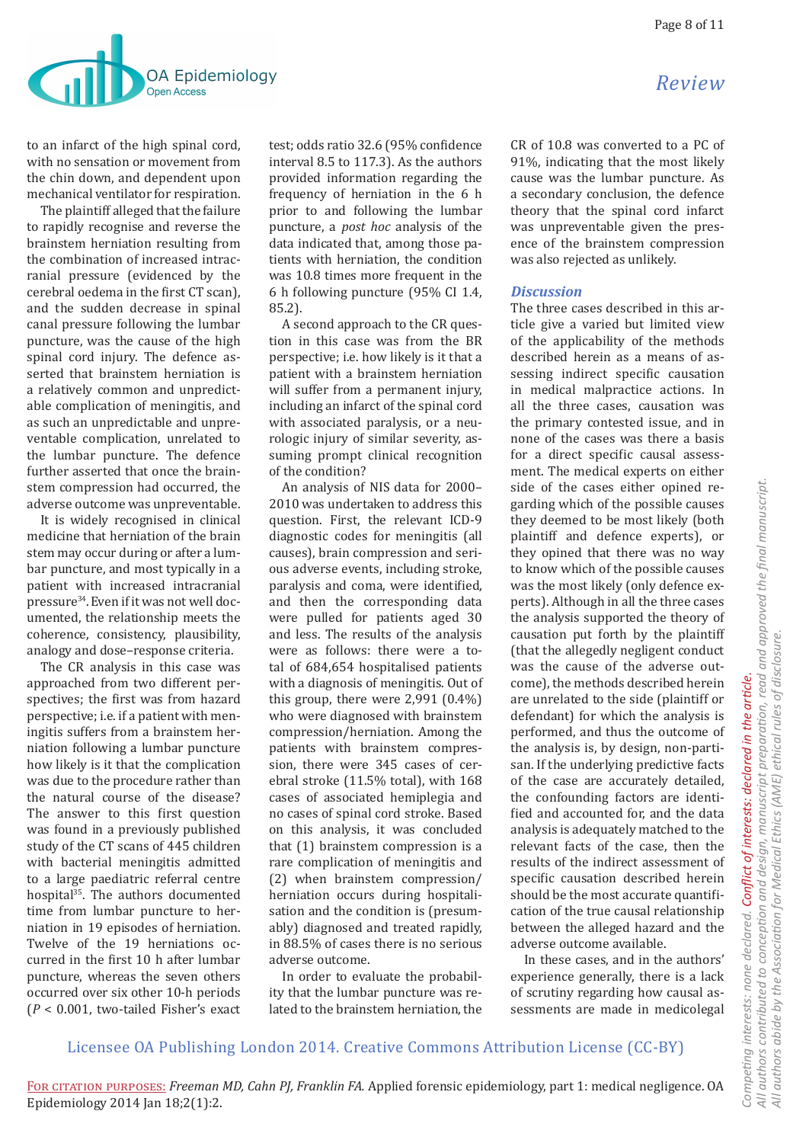

to an infarct of the high spinal cord, with no sensation or movement from the chin down, and dependent upon mechanical ventilator for respiration.

The plaintiff alleged that the failure to rapidly recognise and reverse the brainstem herniation resulting from the combination of increased intracranial pressure (evidenced by the cerebral oedema in the first CT scan), and the sudden decrease in spinal canal pressure following the lumbar puncture, was the cause of the high spinal cord injury. The defence asserted that brainstem herniation is a relatively common and unpredictable complication of meningitis, and as such an unpredictable and unpreventable complication, unrelated to the lumbar puncture. The defence further asserted that once the brainstem compression had occurred, the adverse outcome was unpreventable.

It is widely recognised in clinical medicine that herniation of the brain stem may occur during or after a lumbar puncture, and most typically in a patient with increased intracranial pressure34.Even if it was not well documented, the relationship meets the coherence, consistency, plausibility, analogy and dose–response criteria.

The CR analysis in this case was approached from two different perspectives; the first was from hazard perspective; i.e. if a patient with meningitis suffers from a brainstem herniation following a lumbar puncture how likely is it that the complication was due to the procedure rather than the natural course of the disease? The answer to this first question was found in a previously published study of the CT scans of 445 children with bacterial meningitis admitted to a large paediatric referral centre hospital<sup>35</sup>. The authors documented time from lumbar puncture to herniation in 19 episodes of herniation. Twelve of the 19 herniations occurred in the first 10 h after lumbar puncture, whereas the seven others occurred over six other 10-h periods (*P* < 0.001, two-tailed Fisher's exact

test; odds ratio 32.6 (95% confidence interval 8.5 to 117.3). As the authors provided information regarding the frequency of herniation in the 6 h prior to and following the lumbar puncture, a *post hoc* analysis of the data indicated that, among those patients with herniation, the condition was 10.8 times more frequent in the 6 h following puncture (95% CI 1.4, 85.2).

A second approach to the CR question in this case was from the BR perspective; i.e. how likely is it that a patient with a brainstem herniation will suffer from a permanent injury, including an infarct of the spinal cord with associated paralysis, or a neurologic injury of similar severity, assuming prompt clinical recognition of the condition?

An analysis of NIS data for 2000– 2010 was undertaken to address this question. First, the relevant ICD-9 diagnostic codes for meningitis (all causes), brain compression and serious adverse events, including stroke, paralysis and coma, were identified, and then the corresponding data were pulled for patients aged 30 and less. The results of the analysis were as follows: there were a total of 684,654 hospitalised patients with a diagnosis of meningitis. Out of this group, there were 2,991 (0.4%) who were diagnosed with brainstem compression/herniation. Among the patients with brainstem compression, there were 345 cases of cerebral stroke (11.5% total), with 168 cases of associated hemiplegia and no cases of spinal cord stroke. Based on this analysis, it was concluded that (1) brainstem compression is a rare complication of meningitis and (2) when brainstem compression/ herniation occurs during hospitalisation and the condition is (presumably) diagnosed and treated rapidly, in 88.5% of cases there is no serious adverse outcome.

In order to evaluate the probability that the lumbar puncture was related to the brainstem herniation, the CR of 10.8 was converted to a PC of 91%, indicating that the most likely cause was the lumbar puncture. As a secondary conclusion, the defence theory that the spinal cord infarct was unpreventable given the presence of the brainstem compression was also rejected as unlikely.

### *Discussion*

The three cases described in this article give a varied but limited view of the applicability of the methods described herein as a means of assessing indirect specific causation in medical malpractice actions. In all the three cases, causation was the primary contested issue, and in none of the cases was there a basis for a direct specific causal assessment. The medical experts on either side of the cases either opined regarding which of the possible causes they deemed to be most likely (both plaintiff and defence experts), or they opined that there was no way to know which of the possible causes was the most likely (only defence experts). Although in all the three cases the analysis supported the theory of causation put forth by the plaintiff (that the allegedly negligent conduct was the cause of the adverse outcome), the methods described herein are unrelated to the side (plaintiff or defendant) for which the analysis is performed, and thus the outcome of the analysis is, by design, non-partisan. If the underlying predictive facts of the case are accurately detailed, the confounding factors are identified and accounted for, and the data analysis is adequately matched to the relevant facts of the case, then the results of the indirect assessment of specific causation described herein should be the most accurate quantification of the true causal relationship between the alleged hazard and the adverse outcome available.

In these cases, and in the authors' experience generally, there is a lack of scrutiny regarding how causal assessments are made in medicolegal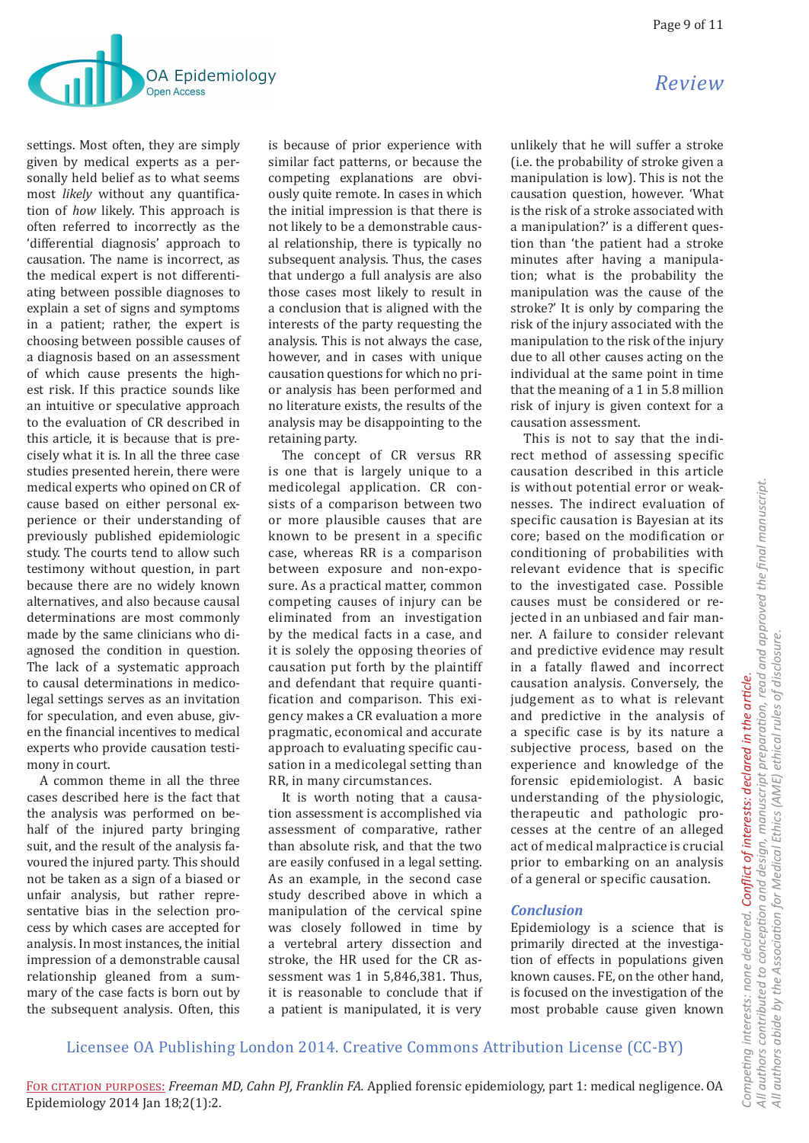

settings. Most often, they are simply given by medical experts as a personally held belief as to what seems most *likely* without any quantification of *how* likely. This approach is often referred to incorrectly as the 'differential diagnosis' approach to causation. The name is incorrect, as the medical expert is not differentiating between possible diagnoses to explain a set of signs and symptoms in a patient; rather, the expert is choosing between possible causes of a diagnosis based on an assessment of which cause presents the highest risk. If this practice sounds like an intuitive or speculative approach to the evaluation of CR described in this article, it is because that is precisely what it is. In all the three case studies presented herein, there were medical experts who opined on CR of cause based on either personal experience or their understanding of previously published epidemiologic study. The courts tend to allow such testimony without question, in part because there are no widely known alternatives, and also because causal determinations are most commonly made by the same clinicians who diagnosed the condition in question. The lack of a systematic approach to causal determinations in medicolegal settings serves as an invitation for speculation, and even abuse, given the financial incentives to medical experts who provide causation testimony in court.

A common theme in all the three cases described here is the fact that the analysis was performed on behalf of the injured party bringing suit, and the result of the analysis favoured the injured party. This should not be taken as a sign of a biased or unfair analysis, but rather representative bias in the selection process by which cases are accepted for analysis. In most instances, the initial impression of a demonstrable causal relationship gleaned from a summary of the case facts is born out by the subsequent analysis. Often, this

is because of prior experience with similar fact patterns, or because the competing explanations are obviously quite remote. In cases in which the initial impression is that there is not likely to be a demonstrable causal relationship, there is typically no subsequent analysis. Thus, the cases that undergo a full analysis are also those cases most likely to result in a conclusion that is aligned with the interests of the party requesting the analysis. This is not always the case, however, and in cases with unique causation questions for which no prior analysis has been performed and no literature exists, the results of the analysis may be disappointing to the retaining party.

The concept of CR versus RR is one that is largely unique to a medicolegal application. CR consists of a comparison between two or more plausible causes that are known to be present in a specific case, whereas RR is a comparison between exposure and non-exposure. As a practical matter, common competing causes of injury can be eliminated from an investigation by the medical facts in a case, and it is solely the opposing theories of causation put forth by the plaintiff and defendant that require quantification and comparison. This exigency makes a CR evaluation a more pragmatic, economical and accurate approach to evaluating specific causation in a medicolegal setting than RR, in many circumstances.

It is worth noting that a causation assessment is accomplished via assessment of comparative, rather than absolute risk, and that the two are easily confused in a legal setting. As an example, in the second case study described above in which a manipulation of the cervical spine was closely followed in time by a vertebral artery dissection and stroke, the HR used for the CR assessment was 1 in 5.846.381. Thus, it is reasonable to conclude that if a patient is manipulated, it is very

unlikely that he will suffer a stroke (i.e. the probability of stroke given a manipulation is low). This is not the causation question, however. 'What is the risk of a stroke associated with a manipulation?' is a different question than 'the patient had a stroke minutes after having a manipulation; what is the probability the manipulation was the cause of the stroke?' It is only by comparing the risk of the injury associated with the manipulation to the risk of the injury due to all other causes acting on the individual at the same point in time that the meaning of a 1 in 5.8 million risk of injury is given context for a causation assessment.

This is not to say that the indirect method of assessing specific causation described in this article is without potential error or weaknesses. The indirect evaluation of specific causation is Bayesian at its core; based on the modification or conditioning of probabilities with relevant evidence that is specific to the investigated case. Possible causes must be considered or rejected in an unbiased and fair manner. A failure to consider relevant and predictive evidence may result in a fatally flawed and incorrect causation analysis. Conversely, the judgement as to what is relevant and predictive in the analysis of a specific case is by its nature a subjective process, based on the experience and knowledge of the forensic epidemiologist. A basic understanding of the physiologic, therapeutic and pathologic processes at the centre of an alleged act of medical malpractice is crucial prior to embarking on an analysis of a general or specific causation.

# *Conclusion*

Epidemiology is a science that is primarily directed at the investigation of effects in populations given known causes. FE, on the other hand, is focused on the investigation of the most probable cause given known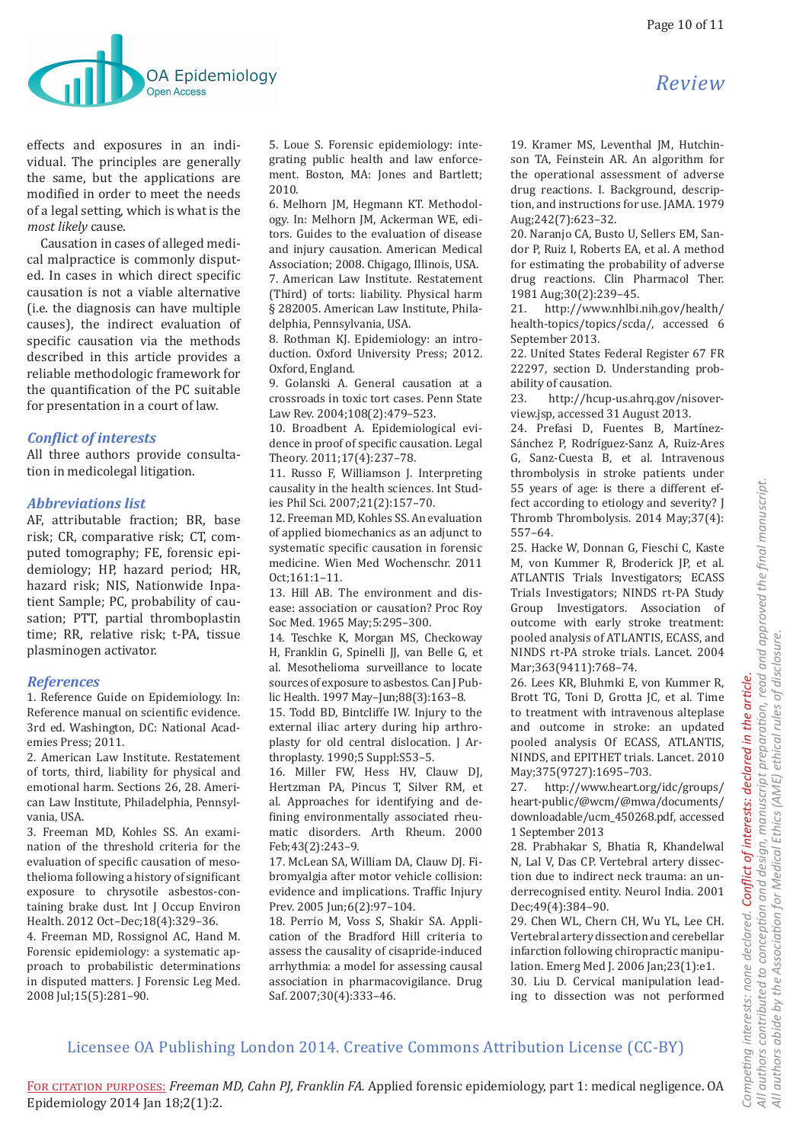

effects and exposures in an individual. The principles are generally the same, but the applications are modified in order to meet the needs of a legal setting, which is what is the *most likely* cause.

Causation in cases of alleged medical malpractice is commonly disputed. In cases in which direct specific causation is not a viable alternative (i.e. the diagnosis can have multiple causes), the indirect evaluation of specific causation via the methods described in this article provides a reliable methodologic framework for the quantification of the PC suitable for presentation in a court of law.

# *Conflict of interests*

All three authors provide consultation in medicolegal litigation.

### *Abbreviations list*

AF, attributable fraction; BR, base risk; CR, comparative risk; CT, computed tomography; FE, forensic epidemiology; HP, hazard period; HR, hazard risk; NIS, Nationwide Inpatient Sample; PC, probability of causation; PTT, partial thromboplastin time; RR, relative risk; t-PA, tissue plasminogen activator.

### *References*

1. Reference Guide on Epidemiology. In: Reference manual on scientific evidence. 3rd ed. Washington, DC: National Academies Press; 2011.

2. American Law Institute. Restatement of torts, third, liability for physical and emotional harm. Sections 26, 28. American Law Institute, Philadelphia, Pennsylvania, USA.

3. Freeman MD, Kohles SS. An examination of the threshold criteria for the evaluation of specific causation of mesothelioma following a history of significant exposure to chrysotile asbestos-containing brake dust. Int J Occup Environ Health. 2012 Oct–Dec;18(4):329–36.

4. Freeman MD, Rossignol AC, Hand M. Forensic epidemiology: a systematic approach to probabilistic determinations in disputed matters. J Forensic Leg Med. 2008 Jul;15(5):281–90.

5. Loue S. Forensic epidemiology: integrating public health and law enforcement. Boston, MA: Jones and Bartlett; 2010.

6. Melhorn JM, Hegmann KT. Methodology. In: Melhorn JM, Ackerman WE, editors. Guides to the evaluation of disease and injury causation. American Medical Association; 2008. Chigago, Illinois, USA. 7. American Law Institute. Restatement (Third) of torts: liability. Physical harm § 282005. American Law Institute, Philadelphia, Pennsylvania, USA.

8. Rothman KJ. Epidemiology: an introduction. Oxford University Press; 2012. Oxford, England.

9. Golanski A. General causation at a crossroads in toxic tort cases. Penn State Law Rev. 2004;108(2):479–523.

10. Broadbent A. Epidemiological evidence in proof of specific causation. Legal Theory. 2011;17(4):237–78.

11. Russo F, Williamson J. Interpreting causality in the health sciences. Int Studies Phil Sci. 2007;21(2):157–70.

12. Freeman MD, Kohles SS. An evaluation of applied biomechanics as an adjunct to systematic specific causation in forensic medicine. Wien Med Wochenschr. 2011 Oct;161:1–11.

13. Hill AB. The environment and disease: association or causation? Proc Roy Soc Med. 1965 May;5:295–300.

14. Teschke K, Morgan MS, Checkoway H, Franklin G, Spinelli JJ, van Belle G, et al. Mesothelioma surveillance to locate sources of exposure to asbestos. Can I Public Health. 1997 May–Jun;88(3):163–8.

15. Todd BD, Bintcliffe IW. Injury to the external iliac artery during hip arthroplasty for old central dislocation. J Arthroplasty. 1990;5 Suppl:S53–5.

16. Miller FW, Hess HV, Clauw DJ, Hertzman PA, Pincus T, Silver RM, et al. Approaches for identifying and defining environmentally associated rheumatic disorders. Arth Rheum. 2000 Feb;43(2):243–9.

17. McLean SA, William DA, Clauw DJ. Fibromyalgia after motor vehicle collision: evidence and implications. Traffic Injury Prev. 2005 Jun;6(2):97–104.

18. Perrio M, Voss S, Shakir SA. Application of the Bradford Hill criteria to assess the causality of cisapride-induced arrhythmia: a model for assessing causal association in pharmacovigilance. Drug Saf. 2007;30(4):333–46.

19. Kramer MS, Leventhal JM, Hutchinson TA, Feinstein AR. An algorithm for the operational assessment of adverse drug reactions. I. Background, description, and instructions for use. JAMA. 1979 Aug;242(7):623–32.

20. Naranjo CA, Busto U, Sellers EM, Sandor P, Ruiz I, Roberts EA, et al. A method for estimating the probability of adverse drug reactions. Clin Pharmacol Ther. 1981 Aug; 30(2): 239-45.<br>21. http://www.nhlbi.

21. http://www.nhlbi.nih.gov/health/ health-topics/topics/scda/, accessed 6 September 2013.

22. United States Federal Register 67 FR 22297, section D. Understanding probability of causation.<br>23. http://hcup-

23. http://hcup-us.ahrq.gov/nisoverview.jsp, accessed 31 August 2013.

24. Prefasi D, Fuentes B, Martínez-Sánchez P, Rodríguez-Sanz A, Ruiz-Ares G, Sanz-Cuesta B, et al. Intravenous thrombolysis in stroke patients under 55 years of age: is there a different effect according to etiology and severity? J Thromb Thrombolysis. 2014 May;37(4): 557–64.

25. Hacke W, Donnan G, Fieschi C, Kaste M, von Kummer R, Broderick JP, et al. ATLANTIS Trials Investigators; ECASS Trials Investigators; NINDS rt-PA Study Group Investigators. Association of outcome with early stroke treatment: pooled analysis of ATLANTIS, ECASS, and NINDS rt-PA stroke trials. Lancet. 2004 Mar;363(9411):768–74.

26. Lees KR, Bluhmki E, von Kummer R, Brott TG, Toni D, Grotta JC, et al. Time to treatment with intravenous alteplase and outcome in stroke: an updated pooled analysis Of ECASS, ATLANTIS, NINDS, and EPITHET trials. Lancet. 2010 May; 375(9727): 1695-703.<br>27. http://www.heart.org

27. http://www.heart.org/idc/groups/ heart-public/@wcm/@mwa/documents/ downloadable/ucm\_450268.pdf, accessed 1 September 2013

28. Prabhakar S, Bhatia R, Khandelwal N, Lal V, Das CP. Vertebral artery dissection due to indirect neck trauma: an underrecognised entity. Neurol India. 2001 Dec;49(4):384–90.

29. Chen WL, Chern CH, Wu YL, Lee CH. Vertebral artery dissection and cerebellar infarction following chiropractic manipulation. Emerg Med J. 2006 Jan;23(1):e1. 30. Liu D. Cervical manipulation leading to dissection was not performed